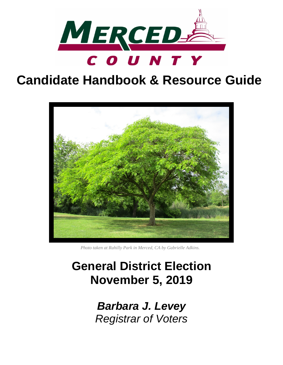

# **Candidate Handbook & Resource Guide**



*Photo taken at Rahilly Park in Merced, CA by Gabrielle Adkins.*

# **General District Election November 5, 2019**

*Barbara J. Levey Registrar of Voters*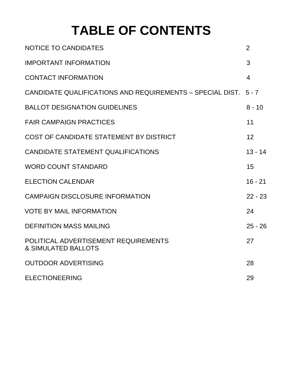# **TABLE OF CONTENTS**

| <b>NOTICE TO CANDIDATES</b>                                            | $\overline{2}$ |
|------------------------------------------------------------------------|----------------|
| <b>IMPORTANT INFORMATION</b>                                           | 3              |
| <b>CONTACT INFORMATION</b>                                             | $\overline{4}$ |
| CANDIDATE QUALIFICATIONS AND REQUIREMENTS - SPECIAL DIST. 5-7          |                |
| <b>BALLOT DESIGNATION GUIDELINES</b>                                   | $8 - 10$       |
| <b>FAIR CAMPAIGN PRACTICES</b>                                         | 11             |
| COST OF CANDIDATE STATEMENT BY DISTRICT                                | 12             |
| <b>CANDIDATE STATEMENT QUALIFICATIONS</b>                              | $13 - 14$      |
| <b>WORD COUNT STANDARD</b>                                             | 15             |
| <b>ELECTION CALENDAR</b>                                               | $16 - 21$      |
| <b>CAMPAIGN DISCLOSURE INFORMATION</b>                                 | $22 - 23$      |
| <b>VOTE BY MAIL INFORMATION</b>                                        | 24             |
| <b>DEFINITION MASS MAILING</b>                                         | $25 - 26$      |
| POLITICAL ADVERTISEMENT REQUIREMENTS<br><b>&amp; SIMULATED BALLOTS</b> | 27             |
| <b>OUTDOOR ADVERTISING</b>                                             | 28             |
| <b>ELECTIONEERING</b>                                                  | 29             |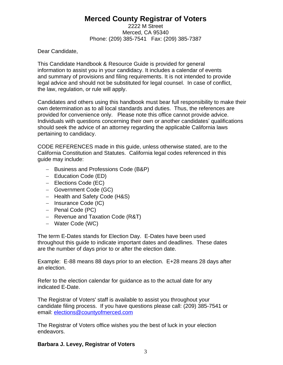### **Merced County Registrar of Voters**

2222 M Street Merced, CA 95340 Phone: (209) 385-7541 Fax: (209) 385-7387

Dear Candidate,

This Candidate Handbook & Resource Guide is provided for general information to assist you in your candidacy. It includes a calendar of events and summary of provisions and filing requirements. It is not intended to provide legal advice and should not be substituted for legal counsel. In case of conflict, the law, regulation, or rule will apply.

Candidates and others using this handbook must bear full responsibility to make their own determination as to all local standards and duties. Thus, the references are provided for convenience only. Please note this office cannot provide advice. Individuals with questions concerning their own or another candidates' qualifications should seek the advice of an attorney regarding the applicable California laws pertaining to candidacy.

CODE REFERENCES made in this guide, unless otherwise stated, are to the California Constitution and Statutes. California legal codes referenced in this guide may include:

- Business and Professions Code (B&P)
- Education Code (ED)
- Elections Code (EC)
- Government Code (GC)
- Health and Safety Code (H&S)
- Insurance Code (IC)
- $-$  Penal Code (PC)
- $-$  Revenue and Taxation Code (R&T)
- Water Code (WC)

The term E-Dates stands for Election Day. E-Dates have been used throughout this guide to indicate important dates and deadlines. These dates are the number of days prior to or after the election date.

Example: E-88 means 88 days prior to an election. E+28 means 28 days after an election.

Refer to the election calendar for guidance as to the actual date for any indicated E-Date.

The Registrar of Voters' staff is available to assist you throughout your candidate filing process. If you have questions please call: (209) 385-7541 or email: elections@countyofmerced.com

The Registrar of Voters office wishes you the best of luck in your election endeavors.

#### **Barbara J. Levey, Registrar of Voters**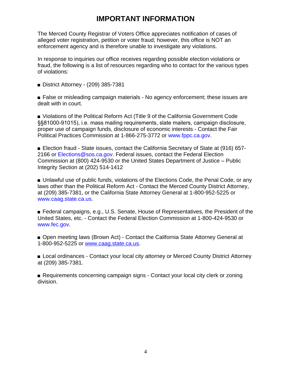### **IMPORTANT INFORMATION**

The Merced County Registrar of Voters Office appreciates notification of cases of alleged voter registration, petition or voter fraud; however, this office is NOT an enforcement agency and is therefore unable to investigate any violations.

In response to inquiries our office receives regarding possible election violations or fraud, the following is a list of resources regarding who to contact for the various types of violations:

■ District Attorney - (209) 385-7381

■ False or misleading campaign materials - No agency enforcement; these issues are dealt with in court.

■ Violations of the Political Reform Act (Title 9 of the California Government Code §§81000-91015), i.e. mass mailing requirements, slate mailers, campaign disclosure, proper use of campaign funds, disclosure of economic interests - Contact the Fair Political Practices Commission at 1-866-275-3772 or www.fppc.ca.gov.

■ Election fraud - State issues, contact the California Secretary of State at (916) 657-2166 or Elections@sos.ca.gov. Federal issues, contact the Federal Election Commission at (800) 424-9530 or the United States Department of Justice – Public Integrity Section at (202) 514-1412

■ Unlawful use of public funds, violations of the Elections Code, the Penal Code, or any laws other than the Political Reform Act - Contact the Merced County District Attorney, at (209) 385-7381, or the California State Attorney General at 1-800-952-5225 or www.caag.state.ca.us.

■ Federal campaigns, e.g., U.S. Senate, House of Representatives, the President of the United States, etc. - Contact the Federal Election Commission at 1-800-424-9530 or www.fec.gov.

■ Open meeting laws (Brown Act) - Contact the California State Attorney General at 1-800-952-5225 or [www.caag.state.ca.us.](http://www.caag.state.ca.us)

■ Local ordinances - Contact your local city attorney or Merced County District Attorney at (209) 385-7381.

■ Requirements concerning campaign signs - Contact your local city clerk or zoning division.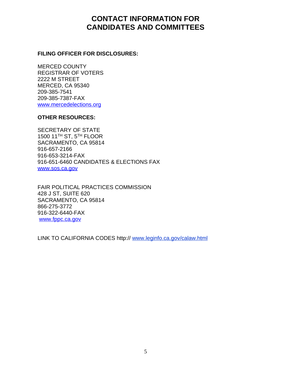### **CONTACT INFORMATION FOR CANDIDATES AND COMMITTEES**

#### **FILING OFFICER FOR DISCLOSURES:**

MERCED COUNTY REGISTRAR OF VOTERS 2222 M STREET MERCED, CA 95340 209-385-7541 209-385-7387-FAX [www.mercedelections.org](http://www.mercedelections.org)

#### **OTHER RESOURCES:**

SECRETARY OF STATE 1500 11TH ST, 5TH FLOOR SACRAMENTO, CA 95814 916-657-2166 916-653-3214-FAX 916-651-6460 CANDIDATES & ELECTIONS FAX [www.sos.ca.gov](http://WWW.SOS.CA.GOV)

FAIR POLITICAL PRACTICES COMMISSION 428 J ST, SUITE 620 SACRAMENTO, CA 95814 866-275-3772 916-322-6440-FAX [www.fppc.ca.gov](http://www.fppc.ca.gov)

LINK TO CALIFORNIA CODES http:// www.leginfo.ca.gov/calaw.html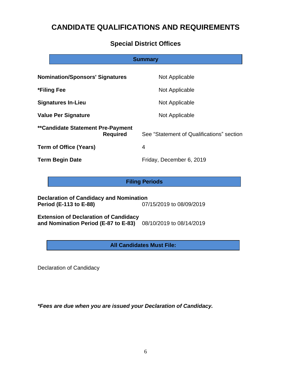### **CANDIDATE QUALIFICATIONS AND REQUIREMENTS**

### **Special District Offices**

# **Nomination/Sponsors' Signatures Mot Applicable \*Filing Fee** Not Applicable **Signatures In-Lieu and Applicable Signatures In-Lieu Value Per Signature Not Applicable Not Applicable \*\*Candidate Statement Pre-Payment Required** See "Statement of Qualifications" section **Term of Office (Years)** 4 **Term Begin Date Friday**, December 6, 2019 **Summary**

#### **Filing Periods**

**Declaration of Candidacy and Nomination Period (E-113 to E-88)** 07/15/2019 to 08/09/2019

**Extension of Declaration of Candidacy and Nomination Period (E-87 to E-83)** 08/10/2019 to 08/14/2019

**All Candidates Must File:**

Declaration of Candidacy

*\*Fees are due when you are issued your Declaration of Candidacy.*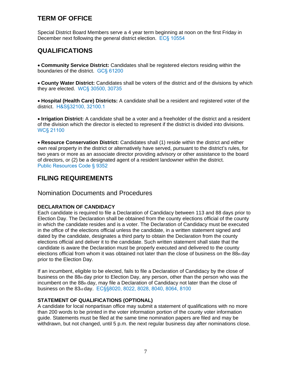### **TERM OF OFFICE**

Special District Board Members serve a 4 year term beginning at noon on the first Friday in December next following the general district election. EC§ 10554

### **QUALIFICATIONS**

 **Community Service District:** Candidates shall be registered electors residing within the boundaries of the district. GC§ 61200

 **County Water District:** Candidates shall be voters of the district and of the divisions by which they are elected. WC§ 30500, 30735

 **Hospital (Health Care) Districts:** A candidate shall be a resident and registered voter of the district. H&S§32100, 32100.1

 **Irrigation District:** A candidate shall be a voter and a freeholder of the district and a resident of the division which the director is elected to represent if the district is divided into divisions. WC§ 21100

 **Resource Conservation District:** Candidates shall (1) reside within the district and either own real property in the district or alternatively have served, pursuant to the district's rules, for two years or more as an associate director providing advisory or other assistance to the board of directors, or (2) be a designated agent of a resident landowner within the district. Public Resources Code § 9352

### **FILING REQUIREMENTS**

#### Nomination Documents and Procedures

#### **DECLARATION OF CANDIDACY**

Each candidate is required to file a Declaration of Candidacy between 113 and 88 days prior to Election Day. The Declaration shall be obtained from the county elections official of the county in which the candidate resides and is a voter. The Declaration of Candidacy must be executed in the office of the elections official unless the candidate, in a written statement signed and dated by the candidate, designates a third party to obtain the Declaration from the county elections official and deliver it to the candidate. Such written statement shall state that the candidate is aware the Declaration must be properly executed and delivered to the county elections official from whom it was obtained not later than the close of business on the  $88<sub>th</sub>$  day prior to the Election Day.

If an incumbent, eligible to be elected, fails to file a Declaration of Candidacy by the close of business on the 88th day prior to Election Day, any person, other than the person who was the incumbent on the  $88<sub>th</sub>$  day, may file a Declaration of Candidacy not later than the close of business on the 83rd day. EC§§8020, 8022, 8028, 8040, 8064, 8100

#### **STATEMENT OF QUALIFICATIONS (OPTIONAL)**

A candidate for local nonpartisan office may submit a statement of qualifications with no more than 200 words to be printed in the voter information portion of the county voter information guide. Statements must be filed at the same time nomination papers are filed and may be withdrawn, but not changed, until 5 p.m. the next regular business day after nominations close.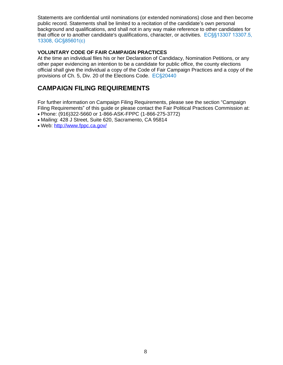Statements are confidential until nominations (or extended nominations) close and then become public record. Statements shall be limited to a recitation of the candidate's own personal background and qualifications, and shall not in any way make reference to other candidates for that office or to another candidate's qualifications, character, or activities. EC§§13307 13307.5, 13308, GC§85601(c)

#### **VOLUNTARY CODE OF FAIR CAMPAIGN PRACTICES**

At the time an individual files his or her Declaration of Candidacy, Nomination Petitions, or any other paper evidencing an intention to be a candidate for public office, the county elections official shall give the individual a copy of the Code of Fair Campaign Practices and a copy of the provisions of Ch. 5, Div. 20 of the Elections Code. EC§20440

### **CAMPAIGN FILING REQUIREMENTS**

For further information on Campaign Filing Requirements, please see the section "Campaign Filing Requirements" of this guide or please contact the Fair Political Practices Commission at:

- Phone: (916)322-5660 or 1-866-ASK-FPPC (1-866-275-3772)
- Mailing: 428 J Street, Suite 620, Sacramento, CA 95814
- Web:<http://www.fppc.ca.gov/>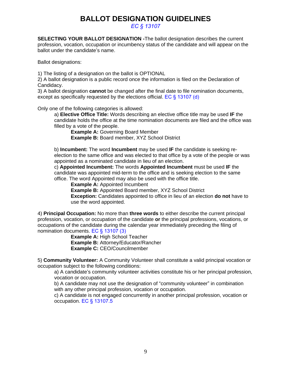### **BALLOT DESIGNATION GUIDELINES**

*EC § 13107*

**SELECTING YOUR BALLOT DESIGNATION -**The ballot designation describes the current profession, vocation, occupation or incumbency status of the candidate and will appear on the ballot under the candidate's name.

Ballot designations:

1) The listing of a designation on the ballot is OPTIONAL

2) A ballot designation is a public record once the information is filed on the Declaration of Candidacy.

3) A ballot designation **cannot** be changed after the final date to file nomination documents, except as specifically requested by the elections official. EC § 13107 (d)

Only one of the following categories is allowed:

a) **Elective Office Title:** Words describing an elective office title may be used **IF** the candidate holds the office at the time nomination documents are filed and the office was filled by a vote of the people.

**Example A: Governing Board Member Example B:** Board member, XYZ School District

b) **Incumbent:** The word **Incumbent** may be used **IF** the candidate is seeking reelection to the same office and was elected to that office by a vote of the people or was appointed as a nominated candidate in lieu of an election.

c) **Appointed Incumbent:** The words **Appointed Incumbent** must be used **IF** the candidate was appointed mid-term to the office and is seeking election to the same office. The word Appointed may also be used with the office title.

**Example A: Appointed Incumbent** 

**Example B:** Appointed Board member, XYZ School District **Exception:** Candidates appointed to office in lieu of an election **do not** have to use the word appointed.

4) **Principal Occupation:** No more than **three words** to either describe the current principal profession, vocation, or occupation of the candidate **or** the principal professions, vocations, or occupations of the candidate during the calendar year immediately preceding the filing of nomination documents. EC § 13107 (3)

**Example A: High School Teacher Example B:** Attorney/Educator/Rancher **Example C:** CEO/Councilmember

5) **Community Volunteer:** A Community Volunteer shall constitute a valid principal vocation or occupation subject to the following conditions:

a) A candidate's community volunteer activities constitute his or her principal profession, vocation or occupation.

b) A candidate may not use the designation of "community volunteer" in combination with any other principal profession, vocation or occupation.

c) A candidate is not engaged concurrently in another principal profession, vocation or occupation. EC § 13107.5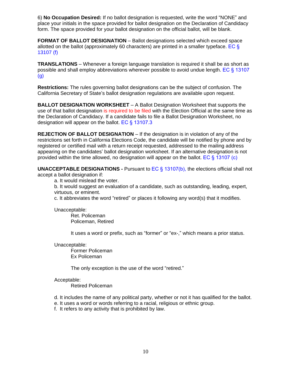6) **No Occupation Desired:** If no ballot designation is requested, write the word "NONE" and place your initials in the space provided for ballot designation on the Declaration of Candidacy form. The space provided for your ballot designation on the official ballot, will be blank.

**FORMAT OF BALLOT DESIGNATION** - Ballot designations selected which exceed space allotted on the ballot (approximately 60 characters) are printed in a smaller typeface. EC  $\S$ 13107 (f)

**TRANSLATIONS** – Whenever a foreign language translation is required it shall be as short as possible and shall employ abbreviations wherever possible to avoid undue length. EC § 13107 (g)

**Restrictions:** The rules governing ballot designations can be the subject of confusion. The California Secretary of State's ballot designation regulations are available upon request.

**BALLOT DESIGNATION WORKSHEET** – A Ballot Designation Worksheet that supports the use of that ballot designation is required to be filed with the Election Official at the same time as the Declaration of Candidacy. If a candidate fails to file a Ballot Designation Worksheet, no designation will appear on the ballot. EC § 13107.3

**REJECTION OF BALLOT DESIGNATION** – If the designation is in violation of any of the restrictions set forth in California Elections Code, the candidate will be notified by phone and by registered or certified mail with a return receipt requested, addressed to the mailing address appearing on the candidates' ballot designation worksheet. If an alternative designation is not provided within the time allowed, no designation will appear on the ballot. EC § 13107 (c)

**UNACCEPTABLE DESIGNATIONS -** Pursuant to EC § 13107(b), the elections official shall not accept a ballot designation if:

a. It would mislead the voter.

b. It would suggest an evaluation of a candidate, such as outstanding, leading, expert, virtuous, or eminent.

c. It abbreviates the word "retired" or places it following any word(s) that it modifies.

Unacceptable:

Ret. Policeman Policeman, Retired

It uses a word or prefix, such as "former" or "ex-," which means a prior status.

Unacceptable:

Former Policeman Ex Policeman

The only exception is the use of the word "retired."

#### Acceptable:

Retired Policeman

- d. It includes the name of any political party, whether or not it has qualified for the ballot.
- e. It uses a word or words referring to a racial, religious or ethnic group.
- f. It refers to any activity that is prohibited by law.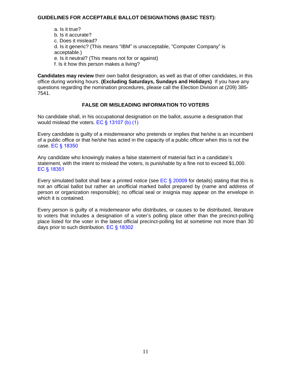#### **GUIDELINES FOR ACCEPTABLE BALLOT DESIGNATIONS (BASIC TEST):**

a. Is it true? b. Is it accurate? c. Does it mislead? d. Is it generic? (This means "IBM" is unacceptable, "Computer Company" is acceptable.) e. Is it neutral? (This means not for or against) f. Is it how this person makes a living?

**Candidates may review** their own ballot designation, as well as that of other candidates, in this office during working hours. **(Excluding Saturdays, Sundays and Holidays)** If you have any questions regarding the nomination procedures, please call the Election Division at (209) 385- 7541.

#### **FALSE OR MISLEADING INFORMATION TO VOTERS**

No candidate shall, in his occupational designation on the ballot, assume a designation that would mislead the voters. EC § 13107 (b) (1)

Every candidate is guilty of a misdemeanor who pretends or implies that he/she is an incumbent of a public office or that he/she has acted in the capacity of a public officer when this is not the case. EC § 18350

Any candidate who knowingly makes a false statement of material fact in a candidate's statement, with the intent to mislead the voters, is punishable by a fine not to exceed \$1,000. EC § 18351

Every simulated ballot shall bear a printed notice (see  $EC \$  20009 for details) stating that this is not an official ballot but rather an unofficial marked ballot prepared by (name and address of person or organization responsible); no official seal or insignia may appear on the envelope in which it is contained.

Every person is guilty of a misdemeanor who distributes, or causes to be distributed, literature to voters that includes a designation of a voter's polling place other than the precinct-polling place listed for the voter in the latest official precinct-polling list at sometime not more than 30 days prior to such distribution. EC § 18302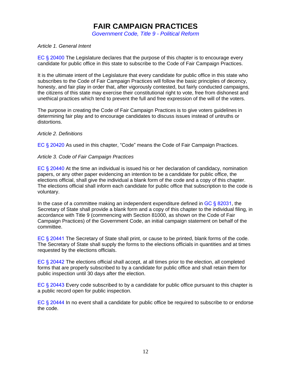### **FAIR CAMPAIGN PRACTICES**

*Government Code, Title 9 - Political Reform*

#### *Article 1. General Intent*

EC § 20400 The Legislature declares that the purpose of this chapter is to encourage every candidate for public office in this state to subscribe to the Code of Fair Campaign Practices.

It is the ultimate intent of the Legislature that every candidate for public office in this state who subscribes to the Code of Fair Campaign Practices will follow the basic principles of decency, honesty, and fair play in order that, after vigorously contested, but fairly conducted campaigns, the citizens of this state may exercise their constitutional right to vote, free from dishonest and unethical practices which tend to prevent the full and free expression of the will of the voters.

The purpose in creating the Code of Fair Campaign Practices is to give voters guidelines in determining fair play and to encourage candidates to discuss issues instead of untruths or distortions.

#### *Article 2. Definitions*

EC § 20420 As used in this chapter, "Code" means the Code of Fair Campaign Practices.

#### *Article 3. Code of Fair Campaign Practices*

EC § 20440 At the time an individual is issued his or her declaration of candidacy, nomination papers, or any other paper evidencing an intention to be a candidate for public office, the elections official, shall give the individual a blank form of the code and a copy of this chapter. The elections official shall inform each candidate for public office that subscription to the code is voluntary.

In the case of a committee making an independent expenditure defined in  $GC \$  82031, the Secretary of State shall provide a blank form and a copy of this chapter to the individual filing, in accordance with Title 9 (commencing with Section 81000, as shown on the Code of Fair Campaign Practices) of the Government Code, an initial campaign statement on behalf of the committee.

EC § 20441 The Secretary of State shall print, or cause to be printed, blank forms of the code. The Secretary of State shall supply the forms to the elections officials in quantities and at times requested by the elections officials.

EC § 20442 The elections official shall accept, at all times prior to the election, all completed forms that are properly subscribed to by a candidate for public office and shall retain them for public inspection until 30 days after the election.

EC § 20443 Every code subscribed to by a candidate for public office pursuant to this chapter is a public record open for public inspection.

EC § 20444 In no event shall a candidate for public office be required to subscribe to or endorse the code.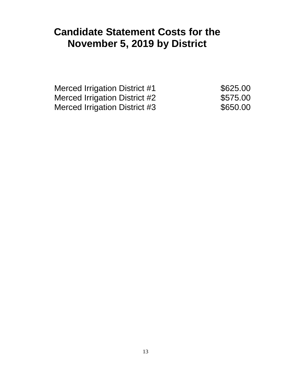## **Candidate Statement Costs for the November 5, 2019 by District**

Merced Irrigation District #1 \$625.00 Merced Irrigation District #2  $$575.00$ Merced Irrigation District #3  $$650.00$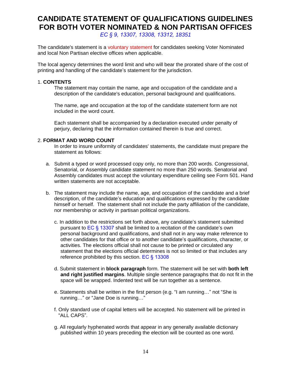### **CANDIDATE STATEMENT OF QUALIFICATIONS GUIDELINES FOR BOTH VOTER NOMINATED & NON PARTISAN OFFICES**

*EC § 9, 13307, 13308, 13312, 18351*

The candidate's statement is a voluntary statement for candidates seeking Voter Nominated and local Non Partisan elective offices when applicable.

The local agency determines the word limit and who will bear the prorated share of the cost of printing and handling of the candidate's statement for the jurisdiction.

#### 1. **CONTENTS**

The statement may contain the name, age and occupation of the candidate and a description of the candidate's education, personal background and qualifications.

The name, age and occupation at the top of the candidate statement form are not included in the word count.

Each statement shall be accompanied by a declaration executed under penalty of perjury, declaring that the information contained therein is true and correct.

#### 2. **FORMAT AND WORD COUNT**

In order to insure uniformity of candidates' statements, the candidate must prepare the statement as follows:

- a. Submit a typed or word processed copy only, no more than 200 words. Congressional, Senatorial, or Assembly candidate statement no more than 250 words. Senatorial and Assembly candidates must accept the voluntary expenditure ceiling see Form 501. Hand written statements are not acceptable.
- b. The statement may include the name, age, and occupation of the candidate and a brief description, of the candidate's education and qualifications expressed by the candidate himself or herself. The statement shall not include the party affiliation of the candidate, nor membership or activity in partisan political organizations.
	- c. In addition to the restrictions set forth above, any candidate's statement submitted pursuant to EC § 13307 shall be limited to a recitation of the candidate's own personal background and qualifications, and shall not in any way make reference to other candidates for that office or to another candidate's qualifications, character, or activities. The elections official shall not cause to be printed or circulated any statement that the elections official determines is not so limited or that includes any reference prohibited by this section. EC § 13308
	- d. Submit statement in **block paragraph** form. The statement will be set with **both left and right justified margins**. Multiple single sentence paragraphs that do not fit in the space will be wrapped. Indented text will be run together as a sentence.
	- e. Statements shall be written in the first person (e.g. "I am running…" not "She is running…" or "Jane Doe is running…"
	- f. Only standard use of capital letters will be accepted. No statement will be printed in "ALL CAPS".
	- g. All regularly hyphenated words that appear in any generally available dictionary published within 10 years preceding the election will be counted as one word.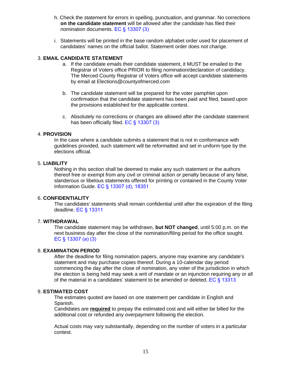- h. Check the statement for errors in spelling, punctuation, and grammar. No corrections **on the candidate statement** will be allowed after the candidate has filed their nomination documents. EC § 13307 (3)
- i. Statements will be printed in the base random alphabet order used for placement of candidates' names on the official ballot. Statement order does not change.

#### 3. **EMAIL CANDIDATE STATEMENT**

- a. If the candidate emails their candidate statement, it MUST be emailed to the Registrar of Voters office PRIOR to filing nomination/declaration of candidacy. The Merced County Registrar of Voters office will accept candidate statements by email at Elections@countyofmerced.com
- b. The candidate statement will be prepared for the voter pamphlet upon confirmation that the candidate statement has been paid and filed, based upon the provisions established for the applicable contest.
- c. Absolutely no corrections or changes are allowed after the candidate statement has been officially filed. EC § 13307 (3)

#### 4. **PROVISION**

In the case where a candidate submits a statement that is not in conformance with guidelines provided, such statement will be reformatted and set in uniform type by the elections official.

#### 5. **LIABILITY**

Nothing in this section shall be deemed to make any such statement or the authors thereof free or exempt from any civil or criminal action or penalty because of any false, slanderous or libelous statements offered for printing or contained in the County Voter Information Guide. EC § 13307 (d), 18351

#### 6. **CONFIDENTIALITY**

The candidates' statements shall remain confidential until after the expiration of the filing deadline. EC § 13311

#### 7. **WITHDRAWAL**

The candidate statement may be withdrawn, **but NOT changed**, until 5:00 p.m. on the next business day after the close of the nomination/filing period for the office sought. EC § 13307 (a) (3)

#### 8. **EXAMINATION PERIOD**

After the deadline for filing nomination papers, anyone may examine any candidate's statement and may purchase copies thereof. During a 10-calendar day period commencing the day after the close of nomination, any voter of the jurisdiction in which the election is being held may seek a writ of mandate or an injunction requiring any or all of the material in a candidates' statement to be amended or deleted. EC § 13313

#### 9. **ESTIMATED COST**

The estimates quoted are based on one statement per candidate in English and Spanish.

Candidates are **required** to prepay the estimated cost and will either be billed for the additional cost or refunded any overpayment following the election.

Actual costs may vary substantially, depending on the number of voters in a particular contest.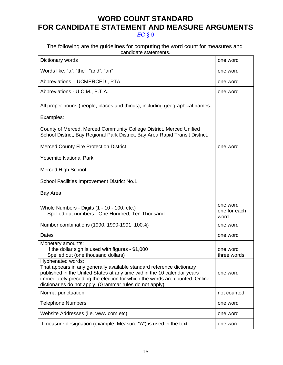### **WORD COUNT STANDARD FOR CANDIDATE STATEMENT AND MEASURE ARGUMENTS** *EC § 9*

#### The following are the guidelines for computing the word count for measures and candidate statements.

| Dictionary words                                                                                                                                                                                                                                                                                               | one word                         |
|----------------------------------------------------------------------------------------------------------------------------------------------------------------------------------------------------------------------------------------------------------------------------------------------------------------|----------------------------------|
| Words like: "a", "the", "and", "an"                                                                                                                                                                                                                                                                            | one word                         |
| Abbreviations - UCMERCED, PTA                                                                                                                                                                                                                                                                                  | one word                         |
| Abbreviations - U.C.M., P.T.A.                                                                                                                                                                                                                                                                                 | one word                         |
| All proper nouns (people, places and things), including geographical names.                                                                                                                                                                                                                                    |                                  |
| Examples:                                                                                                                                                                                                                                                                                                      |                                  |
| County of Merced, Merced Community College District, Merced Unified<br>School District, Bay Regional Park District, Bay Area Rapid Transit District.                                                                                                                                                           |                                  |
| <b>Merced County Fire Protection District</b>                                                                                                                                                                                                                                                                  | one word                         |
| <b>Yosemite National Park</b>                                                                                                                                                                                                                                                                                  |                                  |
| <b>Merced High School</b>                                                                                                                                                                                                                                                                                      |                                  |
| School Facilities Improvement District No.1                                                                                                                                                                                                                                                                    |                                  |
| Bay Area                                                                                                                                                                                                                                                                                                       |                                  |
| Whole Numbers - Digits (1 - 10 - 100, etc.)<br>Spelled out numbers - One Hundred, Ten Thousand                                                                                                                                                                                                                 | one word<br>one for each<br>word |
| Number combinations (1990, 1990-1991, 100%)                                                                                                                                                                                                                                                                    | one word                         |
| Dates                                                                                                                                                                                                                                                                                                          | one word                         |
| Monetary amounts:<br>If the dollar sign is used with figures - \$1,000<br>Spelled out (one thousand dollars)                                                                                                                                                                                                   | one word<br>three words          |
| Hyphenated words:<br>That appears in any generally available standard reference dictionary<br>published in the United States at any time within the 10 calendar years<br>immediately preceding the election for which the words are counted. Online<br>dictionaries do not apply. (Grammar rules do not apply) | one word                         |
| Normal punctuation                                                                                                                                                                                                                                                                                             | not counted                      |
| <b>Telephone Numbers</b>                                                                                                                                                                                                                                                                                       | one word                         |
| Website Addresses (i.e. www.com.etc)                                                                                                                                                                                                                                                                           | one word                         |
| If measure designation (example: Measure "A") is used in the text                                                                                                                                                                                                                                              | one word                         |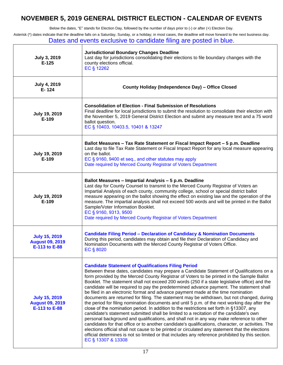### **NOVEMBER 5, 2019 GENERAL DISTRICT ELECTION - CALENDAR OF EVENTS**

Below the dates, "E" stands for Election Day, followed by the number of days prior to (-) or after (+) Election Day.

Asterisk (\*) dates indicate that the deadline falls on a Saturday, Sunday, or a holiday; in most cases, the deadline will move forward to the next business day. Dates and events exclusive to candidate filing are posted in blue.

| <b>July 3, 2019</b><br>$E-125$                                  | <b>Jurisdictional Boundary Changes Deadline</b><br>Last day for jurisdictions consolidating their elections to file boundary changes with the<br>county elections official.<br>EC § 12262                                                                                                                                                                                                                                                                                                                                                                                                                                                                                                                                                                                                                                                                                                                                                                                                                                                                                                                                                                                                                                                                                                                                                                 |
|-----------------------------------------------------------------|-----------------------------------------------------------------------------------------------------------------------------------------------------------------------------------------------------------------------------------------------------------------------------------------------------------------------------------------------------------------------------------------------------------------------------------------------------------------------------------------------------------------------------------------------------------------------------------------------------------------------------------------------------------------------------------------------------------------------------------------------------------------------------------------------------------------------------------------------------------------------------------------------------------------------------------------------------------------------------------------------------------------------------------------------------------------------------------------------------------------------------------------------------------------------------------------------------------------------------------------------------------------------------------------------------------------------------------------------------------|
| <b>July 4, 2019</b><br>E-124                                    | County Holiday (Independence Day) - Office Closed                                                                                                                                                                                                                                                                                                                                                                                                                                                                                                                                                                                                                                                                                                                                                                                                                                                                                                                                                                                                                                                                                                                                                                                                                                                                                                         |
| <b>July 19, 2019</b><br>E-109                                   | <b>Consolidation of Election - Final Submission of Resolutions</b><br>Final deadline for local jurisdictions to submit the resolution to consolidate their election with<br>the November 5, 2019 General District Election and submit any measure text and a 75 word<br>ballot question.<br>EC § 10403, 10403.5, 10401 & 13247                                                                                                                                                                                                                                                                                                                                                                                                                                                                                                                                                                                                                                                                                                                                                                                                                                                                                                                                                                                                                            |
| <b>July 19, 2019</b><br>E-109                                   | Ballot Measures - Tax Rate Statement or Fiscal Impact Report - 5 p.m. Deadline<br>Last day to file Tax Rate Statement or Fiscal Impact Report for any local measure appearing<br>on the ballot.<br>EC § 9160, 9400 et seq., and other statutes may apply<br>Date required by Merced County Registrar of Voters Department                                                                                                                                                                                                                                                                                                                                                                                                                                                                                                                                                                                                                                                                                                                                                                                                                                                                                                                                                                                                                                 |
| <b>July 19, 2019</b><br>E-109                                   | Ballot Measures - Impartial Analysis - 5 p.m. Deadline<br>Last day for County Counsel to transmit to the Merced County Registrar of Voters an<br>Impartial Analysis of each county, community college, school or special district ballot<br>measure appearing on the ballot showing the effect on existing law and the operation of the<br>measure. The impartial analysis shall not exceed 500 words and will be printed in the Ballot<br>Sample/Voter Information Booklet.<br>EC § 9160, 9313, 9500<br>Date required by Merced County Registrar of Voters Department                                                                                                                                                                                                                                                                                                                                                                                                                                                                                                                                                                                                                                                                                                                                                                                    |
| <b>July 15, 2019</b><br><b>August 09, 2019</b><br>E-113 to E-88 | <b>Candidate Filing Period - Declaration of Candidacy &amp; Nomination Documents</b><br>During this period, candidates may obtain and file their Declaration of Candidacy and<br>Nomination Documents with the Merced County Registrar of Voters Office.<br>EC § 8020                                                                                                                                                                                                                                                                                                                                                                                                                                                                                                                                                                                                                                                                                                                                                                                                                                                                                                                                                                                                                                                                                     |
| <b>July 15, 2019</b><br><b>August 09, 2019</b><br>E-113 to E-88 | <b>Candidate Statement of Qualifications Filing Period</b><br>Between these dates, candidates may prepare a Candidate Statement of Qualifications on a<br>form provided by the Merced County Registrar of Voters to be printed in the Sample Ballot<br>Booklet. The statement shall not exceed 200 words (250 if a state legislative office) and the<br>candidate will be required to pay the predetermined advance payment. The statement shall<br>be filed in an electronic format and advance payment made at the time nomination<br>documents are returned for filing. The statement may be withdrawn, but not changed, during<br>the period for filing nomination documents and until 5 p.m. of the next working day after the<br>close of the nomination period. In addition to the restrictions set forth in §13307, any<br>candidate's statement submitted shall be limited to a recitation of the candidate's own<br>personal background and qualifications, and shall not in any way make reference to other<br>candidates for that office or to another candidate's qualifications, character, or activities. The<br>elections official shall not cause to be printed or circulated any statement that the elections<br>official determines is not so limited or that includes any reference prohibited by this section.<br>EC § 13307 & 13308 |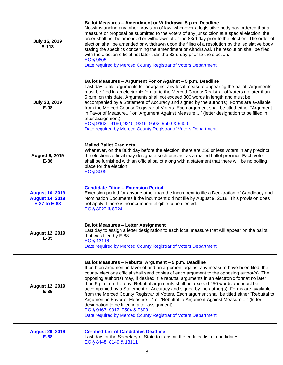| July 15, 2019<br>$E-113$                                         | Ballot Measures - Amendment or Withdrawal 5 p.m. Deadline<br>Notwithstanding any other provision of law, whenever a legislative body has ordered that a<br>measure or proposal be submitted to the voters of any jurisdiction at a special election, the<br>order shall not be amended or withdrawn after the 83rd day prior to the election. The order of<br>election shall be amended or withdrawn upon the filing of a resolution by the legislative body<br>stating the specifics concerning the amendment or withdrawal. The resolution shall be filed<br>with the election official not later than the 83rd day prior to the election.<br>EC § 9605<br>Date required by Merced County Registrar of Voters Department                                                                                                                                                 |
|------------------------------------------------------------------|----------------------------------------------------------------------------------------------------------------------------------------------------------------------------------------------------------------------------------------------------------------------------------------------------------------------------------------------------------------------------------------------------------------------------------------------------------------------------------------------------------------------------------------------------------------------------------------------------------------------------------------------------------------------------------------------------------------------------------------------------------------------------------------------------------------------------------------------------------------------------|
| July 30, 2019<br>E-98                                            | Ballot Measures - Argument For or Against - 5 p.m. Deadline<br>Last day to file arguments for or against any local measure appearing the ballot. Arguments<br>must be filed in an electronic format to the Merced County Registrar of Voters no later than<br>5 p.m. on this date. Arguments shall not exceed 300 words in length and must be<br>accompanied by a Statement of Accuracy and signed by the author(s). Forms are available<br>from the Merced County Registrar of Voters. Each argument shall be titled either "Argument<br>in Favor of Measure" or "Argument Against Measure" (letter designation to be filled in<br>after assignment).<br>EC § 9162 - 9166, 9315, 9316, 9502, 9503 & 9600<br>Date required by Merced County Registrar of Voters Department                                                                                                 |
| <b>August 9, 2019</b><br>E-88                                    | <b>Mailed Ballot Precincts</b><br>Whenever, on the 88th day before the election, there are 250 or less voters in any precinct,<br>the elections official may designate such precinct as a mailed ballot precinct. Each voter<br>shall be furnished with an official ballot along with a statement that there will be no polling<br>place for the election.<br>EC § 3005                                                                                                                                                                                                                                                                                                                                                                                                                                                                                                    |
| <b>August 10, 2019</b><br><b>August 14, 2019</b><br>E-87 to E-83 | <b>Candidate Filing - Extension Period</b><br>Extension period for anyone other than the incumbent to file a Declaration of Candidacy and<br>Nomination Documents if the incumbent did not file by August 9, 2018. This provision does<br>not apply if there is no incumbent eligible to be elected.<br>EC § 8022 & 8024                                                                                                                                                                                                                                                                                                                                                                                                                                                                                                                                                   |
| <b>August 12, 2019</b><br>$E-85$                                 | <b>Ballot Measures - Letter Assignment</b><br>Last day to assign a letter designation to each local measure that will appear on the ballot<br>that was filed by E-88.<br>EC § 13116<br>Date required by Merced County Registrar of Voters Department                                                                                                                                                                                                                                                                                                                                                                                                                                                                                                                                                                                                                       |
| <b>August 12, 2019</b><br>$E-85$                                 | Ballot Measures - Rebuttal Argument - 5 p.m. Deadline<br>If both an argument in favor of and an argument against any measure have been filed, the<br>county elections official shall send copies of each argument to the opposing author(s). The<br>opposing author(s) may, if desired, file rebuttal arguments in an electronic format no later<br>than 5 p.m. on this day. Rebuttal arguments shall not exceed 250 words and must be<br>accompanied by a Statement of Accuracy and signed by the author(s). Forms are available<br>from the Merced County Registrar of Voters. Each argument shall be titled either "Rebuttal to<br>Argument in Favor of Measure " or "Rebuttal to Argument Against Measure " (letter<br>designation to be filled in after assignment).<br>EC § 9167, 9317, 9504 & 9600<br>Date required by Merced County Registrar of Voters Department |
| <b>August 29, 2019</b><br>$E-68$                                 | <b>Certified List of Candidates Deadline</b><br>Last day for the Secretary of State to transmit the certified list of candidates.<br>EC § 8148, 8149 & 13111                                                                                                                                                                                                                                                                                                                                                                                                                                                                                                                                                                                                                                                                                                               |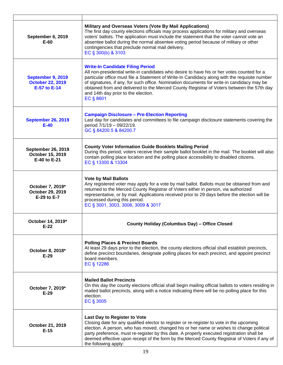| September 6, 2019<br>E-60                                     | Military and Overseas Voters (Vote By Mail Applications)<br>The first day county elections officials may process applications for military and overseas<br>voters' ballots. The application must include the statement that the voter cannot vote an<br>absentee ballot during the normal absentee voting period because of military or other<br>contingencies that preclude normal mail delivery.<br>EC § 300(b) & 3103                                                              |
|---------------------------------------------------------------|---------------------------------------------------------------------------------------------------------------------------------------------------------------------------------------------------------------------------------------------------------------------------------------------------------------------------------------------------------------------------------------------------------------------------------------------------------------------------------------|
| September 9, 2019<br><b>October 22, 2019</b><br>E-57 to E-14  | <b>Write-In Candidate Filing Period</b><br>All non-presidential write-in candidates who desire to have his or her votes counted for a<br>particular office must file a Statement of Write-In Candidacy along with the requisite number<br>of signatures, if any, for such office. Nomination documents for write-in candidacy may be<br>obtained from and delivered to the Merced County Registrar of Voters between the 57th day<br>and 14th day prior to the election.<br>EC § 8601 |
| <b>September 26, 2019</b><br>$E-40$                           | <b>Campaign Disclosure - Pre-Election Reporting</b><br>Last day for candidates and committees to file campaign disclosure statements covering the<br>period 7/1/19 - 09/22/19.<br>GC § 84200.5 & 84200.7                                                                                                                                                                                                                                                                              |
| <b>September 26, 2019</b><br>October 15, 2019<br>E-40 to E-21 | <b>County Voter Information Guide Booklets Mailing Period</b><br>During this period, voters receive their sample ballot booklet in the mail. The booklet will also<br>contain polling place location and the polling place accessibility to disabled citizens.<br>EC § 13300 & 13304                                                                                                                                                                                                  |
| October 7, 2019*<br>October 29, 2019<br>E-29 to E-7           | <b>Vote by Mail Ballots</b><br>Any registered voter may apply for a vote by mail ballot. Ballots must be obtained from and<br>returned to the Merced County Registrar of Voters either in person, via authorized<br>representative, or by mail. Applications received prior to 29 days before the election will be<br>processed during this period.<br>EC § 3001, 3003, 3006, 3009 & 3017                                                                                             |
| October 14, 2019<br>$E-22$                                    | <b>County Holiday (Columbus Day) - Office Closed</b>                                                                                                                                                                                                                                                                                                                                                                                                                                  |
| October 8, 2018*<br>$E-29$                                    | <b>Polling Places &amp; Precinct Boards</b><br>At least 29 days prior to the election, the county elections official shall establish precincts,<br>define precinct boundaries, designate polling places for each precinct, and appoint precinct<br>board members.<br>EC § 12286                                                                                                                                                                                                       |
| October 7, 2019*<br>$E-29$                                    | <b>Mailed Ballot Precincts</b><br>On this day the county elections official shall begin mailing official ballots to voters residing in<br>mailed ballot precincts, along with a notice indicating there will be no polling place for this<br>election.<br>EC § 3005                                                                                                                                                                                                                   |
| October 21, 2019<br>$E-15$                                    | Last Day to Register to Vote<br>Closing date for any qualified elector to register or re-register to vote in the upcoming<br>election. A person, who has moved, changed his or her name or wishes to change political<br>party preference, must re-register by this date. A properly executed registration shall be<br>deemed effective upon receipt of the form by the Merced County Registrar of Voters if any of<br>the following apply:                                           |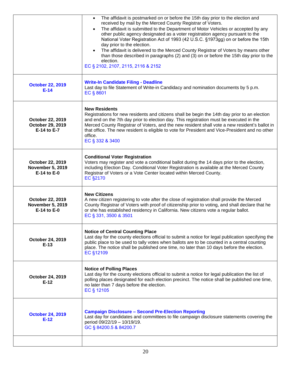|                                                                | The affidavit is postmarked on or before the 15th day prior to the election and<br>$\bullet$<br>received by mail by the Merced County Registrar of Voters.<br>The affidavit is submitted to the Department of Motor Vehicles or accepted by any<br>other public agency designated as a voter registration agency pursuant to the<br>National Voter Registration Act of 1993 (42 U.S.C. §1973gg) on or before the 15th<br>day prior to the election.<br>The affidavit is delivered to the Merced County Registrar of Voters by means other<br>than those described in paragraphs (2) and (3) on or before the 15th day prior to the<br>election.<br>EC § 2102, 2107, 2115, 2116 & 2152 |
|----------------------------------------------------------------|---------------------------------------------------------------------------------------------------------------------------------------------------------------------------------------------------------------------------------------------------------------------------------------------------------------------------------------------------------------------------------------------------------------------------------------------------------------------------------------------------------------------------------------------------------------------------------------------------------------------------------------------------------------------------------------|
| <b>October 22, 2019</b><br>$E-14$                              | <b>Write-In Candidate Filing - Deadline</b><br>Last day to file Statement of Write-in Candidacy and nomination documents by 5 p.m.<br>EC § 8601                                                                                                                                                                                                                                                                                                                                                                                                                                                                                                                                       |
| October 22, 2019<br>October 29, 2019<br>E-14 to E-7            | <b>New Residents</b><br>Registrations for new residents and citizens shall be begin the 14th day prior to an election<br>and end on the 7th day prior to election day. This registration must be executed in the<br>Merced County Registrar of Voters, and the new resident shall vote a new resident's ballot in<br>that office. The new resident is eligible to vote for President and Vice-President and no other<br>office.<br>EC § 332 & 3400                                                                                                                                                                                                                                    |
| October 22, 2019<br><b>November 5, 2019</b><br>$E-14$ to $E-0$ | <b>Conditional Voter Registration</b><br>Voters may register and vote a conditional ballot during the 14 days prior to the election,<br>including Election Day. Conditional Voter Registration is available at the Merced County<br>Registrar of Voters or a Vote Center located within Merced County.<br><b>EC §2170</b>                                                                                                                                                                                                                                                                                                                                                             |
| October 22, 2019<br><b>November 5, 2019</b><br>E-14 to E-0     | <b>New Citizens</b><br>A new citizen registering to vote after the close of registration shall provide the Merced<br>County Registrar of Voters with proof of citizenship prior to voting, and shall declare that he<br>or she has established residency in California. New citizens vote a regular ballot.<br>EC § 331, 3500 & 3501                                                                                                                                                                                                                                                                                                                                                  |
| October 24, 2019<br>$E-13$                                     | <b>Notice of Central Counting Place</b><br>Last day for the county elections official to submit a notice for legal publication specifying the<br>public place to be used to tally votes when ballots are to be counted in a central counting<br>place. The notice shall be published one time, no later than 10 days before the election.<br>EC §12109                                                                                                                                                                                                                                                                                                                                |
| October 24, 2019<br>$E-12$                                     | <b>Notice of Polling Places</b><br>Last day for the county elections official to submit a notice for legal publication the list of<br>polling places designated for each election precinct. The notice shall be published one time,<br>no later than 7 days before the election.<br>EC § 12105                                                                                                                                                                                                                                                                                                                                                                                        |
| <b>October 24, 2019</b><br>$E-12$                              | <b>Campaign Disclosure - Second Pre-Election Reporting</b><br>Last day for candidates and committees to file campaign disclosure statements covering the<br>period 09/22/19 - 10/19/19.<br>GC § 84200.5 & 84200.7                                                                                                                                                                                                                                                                                                                                                                                                                                                                     |
|                                                                |                                                                                                                                                                                                                                                                                                                                                                                                                                                                                                                                                                                                                                                                                       |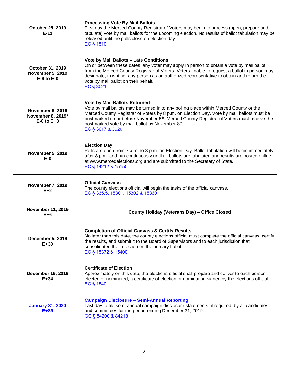| October 25, 2019<br>$E-11$                                     | <b>Processing Vote By Mail Ballots</b><br>First day the Merced County Registrar of Voters may begin to process (open, prepare and<br>tabulate) vote by mail ballots for the upcoming election. No results of ballot tabulation may be<br>released until the polls close on election day.<br>EC § 15101                                                                                                      |  |
|----------------------------------------------------------------|-------------------------------------------------------------------------------------------------------------------------------------------------------------------------------------------------------------------------------------------------------------------------------------------------------------------------------------------------------------------------------------------------------------|--|
| October 31, 2019<br><b>November 5, 2019</b><br>$E-6$ to $E-0$  | Vote by Mail Ballots - Late Conditions<br>On or between these dates, any voter may apply in person to obtain a vote by mail ballot<br>from the Merced County Registrar of Voters. Voters unable to request a ballot in person may<br>designate, in writing, any person as an authorized representative to obtain and return the<br>vote by mail ballot on their behalf.<br>EC § 3021                        |  |
| <b>November 5, 2019</b><br>November 8, 2019*<br>$E-0$ to $E+3$ | <b>Vote by Mail Ballots Returned</b><br>Vote by mail ballots may be turned in to any polling place within Merced County or the<br>Merced County Registrar of Voters by 8 p.m. on Election Day. Vote by mail ballots must be<br>postmarked on or before November 5 <sup>th</sup> . Merced County Registrar of Voters must receive the<br>postmarked vote by mail ballot by November 8th.<br>EC § 3017 & 3020 |  |
| <b>November 5, 2019</b><br>$E-0$                               | <b>Election Day</b><br>Polls are open from 7 a.m. to 8 p.m. on Election Day. Ballot tabulation will begin immediately<br>after 8 p.m. and run continuously until all ballots are tabulated and results are posted online<br>at www.mercedelections.org and are submitted to the Secretary of State.<br>EC § 14212 & 15150                                                                                   |  |
| <b>November 7, 2019</b><br>$E+2$                               | <b>Official Canvass</b><br>The county elections official will begin the tasks of the official canvass.<br>EC § 335.5, 15301, 15302 & 15360                                                                                                                                                                                                                                                                  |  |
| <b>November 11, 2019</b><br>$E+6$                              | <b>County Holiday (Veterans Day) - Office Closed</b>                                                                                                                                                                                                                                                                                                                                                        |  |
| <b>December 5, 2019</b><br>$E+30$                              | <b>Completion of Official Canvass &amp; Certify Results</b><br>No later than this date, the county elections official must complete the official canvass, certify<br>the results, and submit it to the Board of Supervisors and to each jurisdiction that<br>consolidated their election on the primary ballot.<br>EC § 15372 & 15400                                                                       |  |
| <b>December 19, 2019</b><br>$E+34$                             | <b>Certificate of Election</b><br>Approximately on this date, the elections official shall prepare and deliver to each person<br>elected or nominated, a certificate of election or nomination signed by the elections official.<br>EC § 15401                                                                                                                                                              |  |
| <b>January 31, 2020</b><br>$E+86$                              | <b>Campaign Disclosure - Semi-Annual Reporting</b><br>Last day to file semi-annual campaign disclosure statements, if required, by all candidates<br>and committees for the period ending December 31, 2019.<br>GC § 84200 & 84218                                                                                                                                                                          |  |
|                                                                |                                                                                                                                                                                                                                                                                                                                                                                                             |  |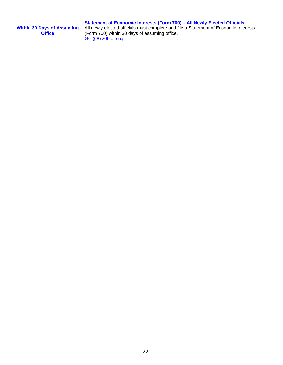| <b>Within 30 Days of Assuming</b><br><b>Office</b> | <b>Statement of Economic Interests (Form 700) - All Newly Elected Officials</b><br>All newly elected officials must complete and file a Statement of Economic Interests<br>(Form 700) within 30 days of assuming office.<br>  GC § 87200 et seq. |
|----------------------------------------------------|--------------------------------------------------------------------------------------------------------------------------------------------------------------------------------------------------------------------------------------------------|
|----------------------------------------------------|--------------------------------------------------------------------------------------------------------------------------------------------------------------------------------------------------------------------------------------------------|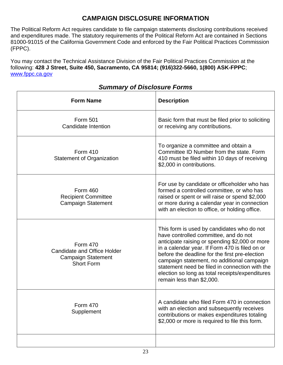### **CAMPAIGN DISCLOSURE INFORMATION**

The Political Reform Act requires candidate to file campaign statements disclosing contributions received and expenditures made. The statutory requirements of the Political Reform Act are contained in Sections 81000-91015 of the California Government Code and enforced by the Fair Political Practices Commission (FPPC).

You may contact the Technical Assistance Division of the Fair Political Practices Commission at the following: **428 J Street, Suite 450, Sacramento, CA 95814; (916)322-5660, 1(800) ASK-FPPC**; [www.fppc.ca.gov](http://www.fppc.ca.gov)

| <b>Form Name</b>                                                                                        | <b>Description</b>                                                                                                                                                                                                                                                                                                                                                                                                        |
|---------------------------------------------------------------------------------------------------------|---------------------------------------------------------------------------------------------------------------------------------------------------------------------------------------------------------------------------------------------------------------------------------------------------------------------------------------------------------------------------------------------------------------------------|
| Form 501<br>Candidate Intention                                                                         | Basic form that must be filed prior to soliciting<br>or receiving any contributions.                                                                                                                                                                                                                                                                                                                                      |
| Form 410<br><b>Statement of Organization</b>                                                            | To organize a committee and obtain a<br>Committee ID Number from the state. Form<br>410 must be filed within 10 days of receiving<br>\$2,000 in contributions.                                                                                                                                                                                                                                                            |
| <b>Form 460</b><br><b>Recipient Committee</b><br><b>Campaign Statement</b>                              | For use by candidate or officeholder who has<br>formed a controlled committee, or who has<br>raised or spent or will raise or spend \$2,000<br>or more during a calendar year in connection<br>with an election to office, or holding office.                                                                                                                                                                             |
| <b>Form 470</b><br><b>Candidate and Office Holder</b><br><b>Campaign Statement</b><br><b>Short Form</b> | This form is used by candidates who do not<br>have controlled committee, and do not<br>anticipate raising or spending \$2,000 or more<br>in a calendar year. If Form 470 is filed on or<br>before the deadline for the first pre-election<br>campaign statement, no additional campaign<br>statement need be filed in connection with the<br>election so long as total receipts/expenditures<br>remain less than \$2,000. |
| <b>Form 470</b><br>Supplement                                                                           | A candidate who filed Form 470 in connection<br>with an election and subsequently receives<br>contributions or makes expenditures totaling<br>\$2,000 or more is required to file this form.                                                                                                                                                                                                                              |
|                                                                                                         |                                                                                                                                                                                                                                                                                                                                                                                                                           |

#### *Summary of Disclosure Forms*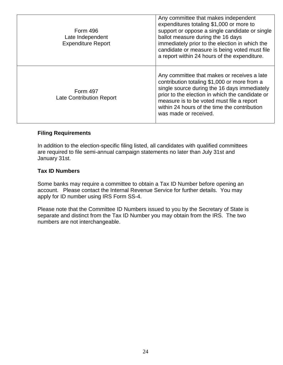| <b>Form 496</b><br>Late Independent<br><b>Expenditure Report</b> | Any committee that makes independent<br>expenditures totaling \$1,000 or more to<br>support or oppose a single candidate or single<br>ballot measure during the 16 days<br>immediately prior to the election in which the<br>candidate or measure is being voted must file<br>a report within 24 hours of the expenditure. |
|------------------------------------------------------------------|----------------------------------------------------------------------------------------------------------------------------------------------------------------------------------------------------------------------------------------------------------------------------------------------------------------------------|
| <b>Form 497</b><br><b>Late Contribution Report</b>               | Any committee that makes or receives a late<br>contribution totaling \$1,000 or more from a<br>single source during the 16 days immediately<br>prior to the election in which the candidate or<br>measure is to be voted must file a report<br>within 24 hours of the time the contribution<br>was made or received.       |

#### **Filing Requirements**

In addition to the election-specific filing listed, all candidates with qualified committees are required to file semi-annual campaign statements no later than July 31st and January 31st.

#### **Tax ID Numbers**

Some banks may require a committee to obtain a Tax ID Number before opening an account. Please contact the Internal Revenue Service for further details. You may apply for ID number using IRS Form SS-4.

Please note that the Committee ID Numbers issued to you by the Secretary of State is separate and distinct from the Tax ID Number you may obtain from the IRS. The two numbers are not interchangeable.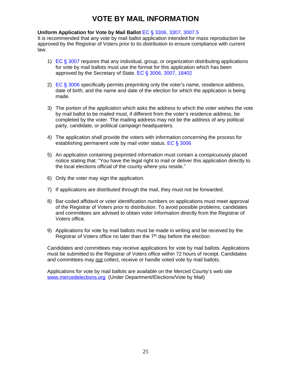### **VOTE BY MAIL INFORMATION**

#### **Uniform Application for Vote by Mail Ballot** EC § 3306, 3307, 3007.5

It is recommended that any vote by mail ballot application intended for mass reproduction be approved by the Registrar of Voters prior to its distribution to ensure compliance with current law.

- 1) EC § 3007 requires that any individual, group, or organization distributing applications for vote by mail ballots must use the format for this application which has been approved by the Secretary of State. EC § 3006, 3007, 18402
- 2)  $EC \$  3006 specifically permits preprinting only the voter's name, residence address, date of birth, and the name and date of the election for which the application is being made.
- 3) The portion of the application which asks the address to which the voter wishes the vote by mail ballot to be mailed must, if different from the voter's residence address, be completed by the voter. The mailing address may not be the address of any political party, candidate, or political campaign headquarters.
- 4) The application shall provide the voters with information concerning the process for establishing permanent vote by mail voter status. EC § 3006
- 5) An application containing preprinted information must contain a conspicuously placed notice stating that: "You have the legal right to mail or deliver this application directly to the local elections official of the county where you reside."
- 6) Only the voter may sign the application.
- 7) If applications are distributed through the mail, they must not be forwarded.
- 8) Bar-coded affidavit or voter identification numbers on applications must meet approval of the Registrar of Voters prior to distribution. To avoid possible problems, candidates and committees are advised to obtain voter information directly from the Registrar of Voters office.
- 9) Applications for vote by mail ballots must be made in writing and be received by the Registrar of Voters office no later than the  $7<sup>th</sup>$  day before the election.

Candidates and committees may receive applications for vote by mail ballots. Applications must be submitted to the Registrar of Voters office within 72 hours of receipt. Candidates and committees may not collect, receive or handle voted vote by mail ballots.

Applications for vote by mail ballots are available on the Merced County's web site [www.mercedelections.org](http://www.co.merced.ca.us) (Under Department/Elections/Vote by Mail)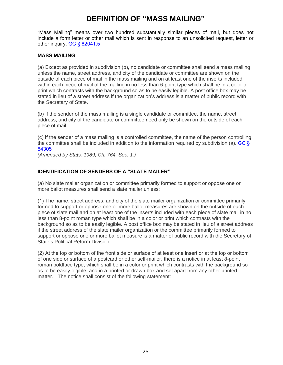### **DEFINITION OF "MASS MAILING"**

"Mass Mailing" means over two hundred substantially similar pieces of mail, but does not include a form letter or other mail which is sent in response to an unsolicited request, letter or other inquiry. GC § 82041.5

#### **MASS MAILING**

(a) Except as provided in subdivision (b), no candidate or committee shall send a mass mailing unless the name, street address, and city of the candidate or committee are shown on the outside of each piece of mail in the mass mailing and on at least one of the inserts included within each piece of mail of the mailing in no less than 6-point type which shall be in a color or print which contrasts with the background so as to be easily legible. A post office box may be stated in lieu of a street address if the organization's address is a matter of public record with the Secretary of State.

(b) If the sender of the mass mailing is a single candidate or committee, the name, street address, and city of the candidate or committee need only be shown on the outside of each piece of mail.

(c) If the sender of a mass mailing is a controlled committee, the name of the person controlling the committee shall be included in addition to the information required by subdivision (a). GC § 84305

*(Amended by Stats. 1989, Ch. 764, Sec. 1.)*

#### **IDENTIFICATION OF SENDERS OF A "SLATE MAILER"**

(a) No slate mailer organization or committee primarily formed to support or oppose one or more ballot measures shall send a slate mailer unless:

(1) The name, street address, and city of the slate mailer organization or committee primarily formed to support or oppose one or more ballot measures are shown on the outside of each piece of slate mail and on at least one of the inserts included with each piece of slate mail in no less than 8-point roman type which shall be in a color or print which contrasts with the background so as to be easily legible. A post office box may be stated in lieu of a street address if the street address of the slate mailer organization or the committee primarily formed to support or oppose one or more ballot measure is a matter of public record with the Secretary of State's Political Reform Division.

(2) At the top or bottom of the front side or surface of at least one insert or at the top or bottom of one side or surface of a postcard or other self-mailer, there is a notice in at least 8-point roman boldface type, which shall be in a color or print which contrasts with the background so as to be easily legible, and in a printed or drawn box and set apart from any other printed matter. The notice shall consist of the following statement: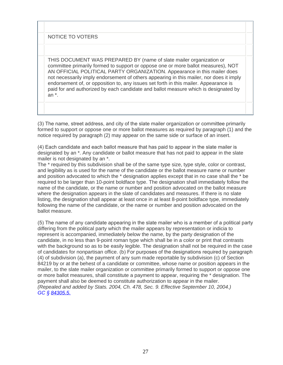NOTICE TO VOTERS

THIS DOCUMENT WAS PREPARED BY (name of slate mailer organization or committee primarily formed to support or oppose one or more ballot measures), NOT AN OFFICIAL POLITICAL PARTY ORGANIZATION. Appearance in this mailer does not necessarily imply endorsement of others appearing in this mailer, nor does it imply endorsement of, or opposition to, any issues set forth in this mailer. Appearance is paid for and authorized by each candidate and ballot measure which is designated by an \*.

(3) The name, street address, and city of the slate mailer organization or committee primarily formed to support or oppose one or more ballot measures as required by paragraph (1) and the notice required by paragraph (2) may appear on the same side or surface of an insert.

(4) Each candidate and each ballot measure that has paid to appear in the slate mailer is designated by an \*. Any candidate or ballot measure that has not paid to appear in the slate mailer is not designated by an \*.

The \* required by this subdivision shall be of the same type size, type style, color or contrast, and legibility as is used for the name of the candidate or the ballot measure name or number and position advocated to which the \* designation applies except that in no case shall the \* be required to be larger than 10-point boldface type. The designation shall immediately follow the name of the candidate, or the name or number and position advocated on the ballot measure where the designation appears in the slate of candidates and measures. If there is no slate listing, the designation shall appear at least once in at least 8-point boldface type, immediately following the name of the candidate, or the name or number and position advocated on the ballot measure.

(5) The name of any candidate appearing in the slate mailer who is a member of a political party differing from the political party which the mailer appears by representation or indicia to represent is accompanied, immediately below the name, by the party designation of the candidate, in no less than 9-point roman type which shall be in a color or print that contrasts with the background so as to be easily legible. The designation shall not be required in the case of candidates for nonpartisan office. (b) For purposes of the designations required by paragraph (4) of subdivision (a), the payment of any sum made reportable by subdivision (c) of Section 84219 by or at the behest of a candidate or committee, whose name or position appears in the mailer, to the slate mailer organization or committee primarily formed to support or oppose one or more ballot measures, shall constitute a payment to appear, requiring the \* designation. The payment shall also be deemed to constitute authorization to appear in the mailer. *(Repealed and added by Stats. 2004, Ch. 478, Sec. 9. Effective September 10, 2004.) GC § [84305.5.](javascript:submitCodesValues()*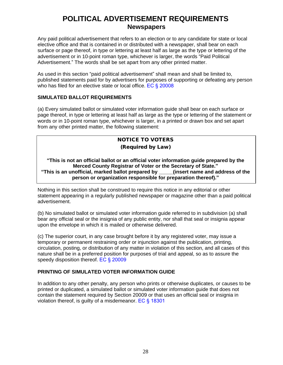### **POLITICAL ADVERTISEMENT REQUIREMENTS Newspapers**

Any paid political advertisement that refers to an election or to any candidate for state or local elective office and that is contained in or distributed with a newspaper, shall bear on each surface or page thereof, in type or lettering at least half as large as the type or lettering of the advertisement or in 10‐point roman type, whichever is larger, the words "Paid Political Advertisement." The words shall be set apart from any other printed matter.

As used in this section "paid political advertisement" shall mean and shall be limited to, published statements paid for by advertisers for purposes of supporting or defeating any person who has filed for an elective state or local office. EC § 20008

#### **SIMULATED BALLOT REQUIREMENTS**

(a) Every simulated ballot or simulated voter information guide shall bear on each surface or page thereof, in type or lettering at least half as large as the type or lettering of the statement or words or in 10‐point roman type, whichever is larger, in a printed or drawn box and set apart from any other printed matter, the following statement:

#### **NOTICE TO VOTERS (Required by Law)**

**"This is not an official ballot or an official voter information guide prepared by the Merced County Registrar of Voter or the Secretary of State." "This is an unofficial, marked ballot prepared by \_\_\_\_\_(insert name and address of the person or organization responsible for preparation thereof)."**

Nothing in this section shall be construed to require this notice in any editorial or other statement appearing in a regularly published newspaper or magazine other than a paid political advertisement.

(b) No simulated ballot or simulated voter information guide referred to in subdivision (a) shall bear any official seal or the insignia of any public entity, nor shall that seal or insignia appear upon the envelope in which it is mailed or otherwise delivered.

(c) The superior court, in any case brought before it by any registered voter, may issue a temporary or permanent restraining order or injunction against the publication, printing, circulation, posting, or distribution of any matter in violation of this section, and all cases of this nature shall be in a preferred position for purposes of trial and appeal, so as to assure the speedy disposition thereof. EC § 20009

#### **PRINTING OF SIMULATED VOTER INFORMATION GUIDE**

In addition to any other penalty, any person who prints or otherwise duplicates, or causes to be printed or duplicated, a simulated ballot or simulated voter information guide that does not contain the statement required by Section 20009 or that uses an official seal or insignia in violation thereof, is guilty of a misdemeanor. EC § 18301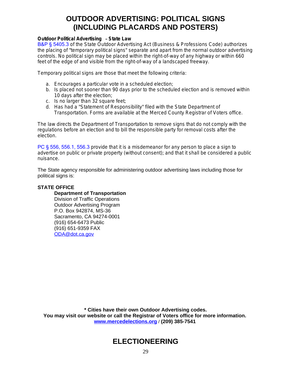### **OUTDOOR ADVERTISING: POLITICAL SIGNS (INCLUDING PLACARDS AND POSTERS)**

#### **Outdoor Political Advertising** – **State Law**

B&P § 5405.3 of the State Outdoor Advertising Act (Business & Professions Code) authorizes the placing of "temporary political signs" separate and apart from the normal outdoor advertising controls. No political sign may be placed within the right-of-way of any highway or within 660 feet of the edge of and visible from the right-of-way of a landscaped freeway.

Temporary political signs are those that meet the following criteria:

- a. Encourages a particular vote in a scheduled election;
- b. Is placed not sooner than 90 days prior to the scheduled election and is removed within 10 days after the election;
- c. Is no larger than 32 square feet;
- d. Has had a "Statement of Responsibility" filed with the State Department of Transportation. Forms are available at the Merced County Registrar of Voters office.

The law directs the Department of Transportation to remove signs that do not comply with the regulations before an election and to bill the responsible party for removal costs after the election.

PC § 556, 556.1, 556.3 provide that it is a misdemeanor for any person to place a sign to advertise on public or private property (without consent); and that it shall be considered a public nuisance.

The State agency responsible for administering outdoor advertising laws including those for political signs is:

#### **STATE OFFICE**

#### **Department of Transportation**

Division of Traffic Operations Outdoor Advertising Program P.O. Box 942874, MS-36 Sacramento, CA 94274-0001 (916) 654-6473 Public (916) 651-9359 FAX [ODA@dot.ca.gov](mailto:ODA@dot.ca.gov)

**\* Cities have their own Outdoor Advertising codes. You may visit our website or call the Registrar of Voters office for more information. [www.mercedelections.org](http://www.mercedelections.org) / (209) 385-7541**

### **ELECTIONEERING**